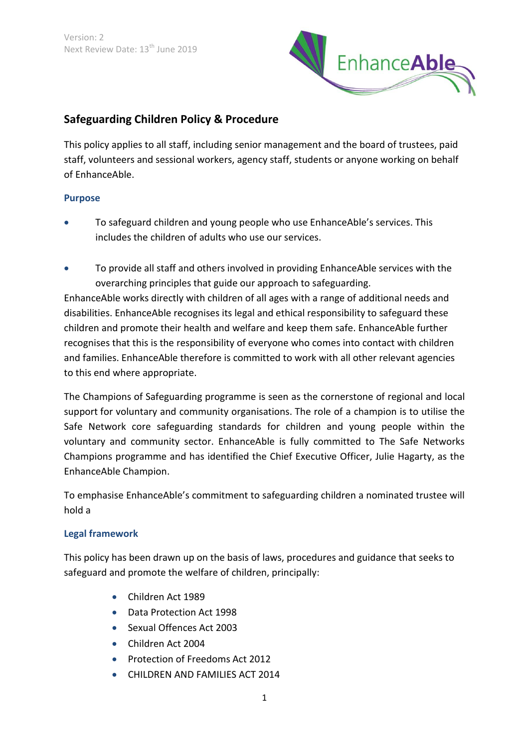

# **Safeguarding Children Policy & Procedure**

This policy applies to all staff, including senior management and the board of trustees, paid staff, volunteers and sessional workers, agency staff, students or anyone working on behalf of EnhanceAble.

## **Purpose**

- To safeguard children and young people who use EnhanceAble's services. This includes the children of adults who use our services.
- To provide all staff and others involved in providing EnhanceAble services with the overarching principles that guide our approach to safeguarding.

EnhanceAble works directly with children of all ages with a range of additional needs and disabilities. EnhanceAble recognises its legal and ethical responsibility to safeguard these children and promote their health and welfare and keep them safe. EnhanceAble further recognises that this is the responsibility of everyone who comes into contact with children and families. EnhanceAble therefore is committed to work with all other relevant agencies to this end where appropriate.

The Champions of Safeguarding programme is seen as the cornerstone of [regional](http://www.safenetwork.org.uk/about_us/who_are_we/Pages/regional_development_managers.aspx) and local [support](http://www.safenetwork.org.uk/about_us/who_are_we/Pages/regional_development_managers.aspx) for voluntary and community organisations. The role of a champion is to utilise the Safe Network core safeguarding standards for children and young people within the voluntary and community sector. EnhanceAble is fully committed to The Safe Networks Champions programme and has identified the Chief Executive Officer, Julie Hagarty, as the EnhanceAble Champion.

To emphasise EnhanceAble's commitment to safeguarding children a nominated trustee will hold a

## **Legal framework**

This policy has been drawn up on the basis of laws, procedures and guidance that seeks to safeguard and promote the welfare of children, principally:

- Children Act 1989
- Data Protection Act 1998
- Sexual Offences Act 2003
- Children Act 2004
- Protection of Freedoms Act 2012
- CHILDREN AND FAMILIES ACT 2014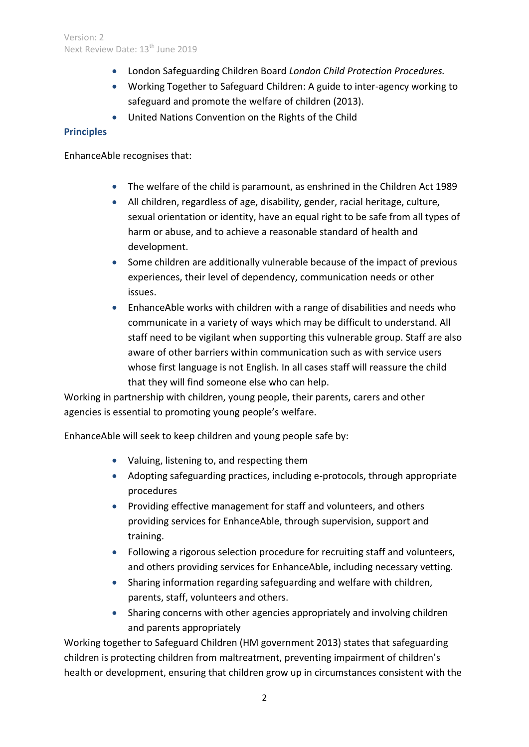- London Safeguarding Children Board *London Child Protection Procedures.*
- Working Together to Safeguard Children: A guide to inter-agency working to safeguard and promote the welfare of children (2013).
- United Nations Convention on the Rights of the Child

## **Principles**

EnhanceAble recognises that:

- The welfare of the child is paramount, as enshrined in the Children Act 1989
- All children, regardless of age, disability, gender, racial heritage, culture, sexual orientation or identity, have an equal right to be safe from all types of harm or abuse, and to achieve a reasonable standard of health and development.
- Some children are additionally vulnerable because of the impact of previous experiences, their level of dependency, communication needs or other issues.
- EnhanceAble works with children with a range of disabilities and needs who communicate in a variety of ways which may be difficult to understand. All staff need to be vigilant when supporting this vulnerable group. Staff are also aware of other barriers within communication such as with service users whose first language is not English. In all cases staff will reassure the child that they will find someone else who can help.

Working in partnership with children, young people, their parents, carers and other agencies is essential to promoting young people's welfare.

EnhanceAble will seek to keep children and young people safe by:

- Valuing, listening to, and respecting them
- Adopting safeguarding practices, including e-protocols, through appropriate procedures
- Providing effective management for staff and volunteers, and others providing services for EnhanceAble, through supervision, support and training.
- Following a rigorous selection procedure for recruiting staff and volunteers, and others providing services for EnhanceAble, including necessary vetting.
- Sharing information regarding safeguarding and welfare with children, parents, staff, volunteers and others.
- Sharing concerns with other agencies appropriately and involving children and parents appropriately

Working together to Safeguard Children (HM government 2013) states that safeguarding children is protecting children from maltreatment, preventing impairment of children's health or development, ensuring that children grow up in circumstances consistent with the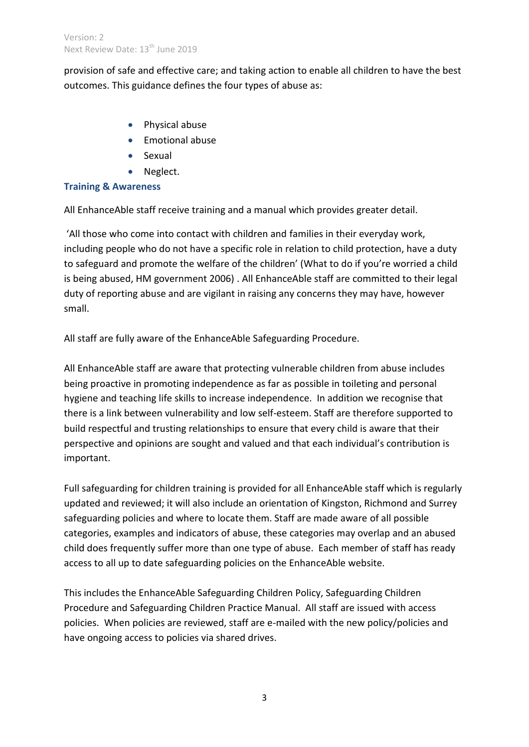provision of safe and effective care; and taking action to enable all children to have the best outcomes. This guidance defines the four types of abuse as:

- Physical abuse
- **Emotional abuse**
- Sexual
- Neglect.

## **Training & Awareness**

All EnhanceAble staff receive training and a manual which provides greater detail.

'All those who come into contact with children and families in their everyday work, including people who do not have a specific role in relation to child protection, have a duty to safeguard and promote the welfare of the children' (What to do if you're worried a child is being abused, HM government 2006) . All EnhanceAble staff are committed to their legal duty of reporting abuse and are vigilant in raising any concerns they may have, however small.

All staff are fully aware of the EnhanceAble Safeguarding Procedure.

All EnhanceAble staff are aware that protecting vulnerable children from abuse includes being proactive in promoting independence as far as possible in toileting and personal hygiene and teaching life skills to increase independence. In addition we recognise that there is a link between vulnerability and low self-esteem. Staff are therefore supported to build respectful and trusting relationships to ensure that every child is aware that their perspective and opinions are sought and valued and that each individual's contribution is important.

Full safeguarding for children training is provided for all EnhanceAble staff which is regularly updated and reviewed; it will also include an orientation of Kingston, Richmond and Surrey safeguarding policies and where to locate them. Staff are made aware of all possible categories, examples and indicators of abuse, these categories may overlap and an abused child does frequently suffer more than one type of abuse. Each member of staff has ready access to all up to date safeguarding policies on the EnhanceAble website.

This includes the EnhanceAble Safeguarding Children Policy, Safeguarding Children Procedure and Safeguarding Children Practice Manual. All staff are issued with access policies. When policies are reviewed, staff are e-mailed with the new policy/policies and have ongoing access to policies via shared drives.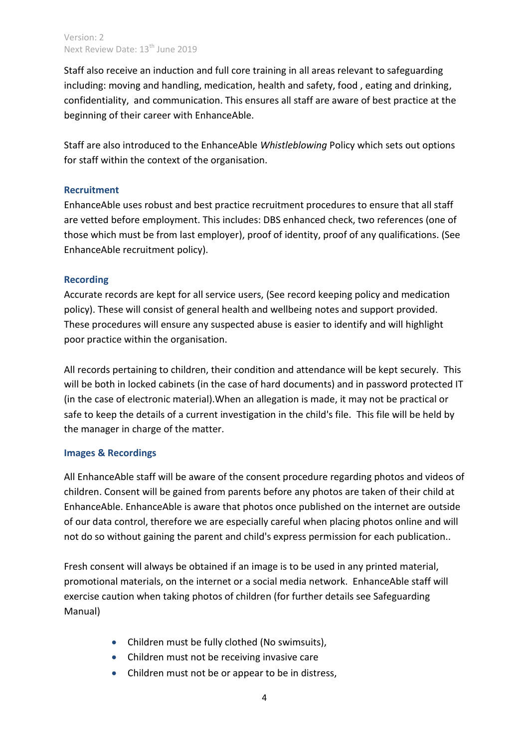Staff also receive an induction and full core training in all areas relevant to safeguarding including: moving and handling, medication, health and safety, food , eating and drinking, confidentiality, and communication. This ensures all staff are aware of best practice at the beginning of their career with EnhanceAble.

Staff are also introduced to the EnhanceAble *Whistleblowing* Policy which sets out options for staff within the context of the organisation.

## **Recruitment**

EnhanceAble uses robust and best practice recruitment procedures to ensure that all staff are vetted before employment. This includes: DBS enhanced check, two references (one of those which must be from last employer), proof of identity, proof of any qualifications. (See EnhanceAble recruitment policy).

## **Recording**

Accurate records are kept for all service users, (See record keeping policy and medication policy). These will consist of general health and wellbeing notes and support provided. These procedures will ensure any suspected abuse is easier to identify and will highlight poor practice within the organisation.

All records pertaining to children, their condition and attendance will be kept securely. This will be both in locked cabinets (in the case of hard documents) and in password protected IT (in the case of electronic material).When an allegation is made, it may not be practical or safe to keep the details of a current investigation in the child's file. This file will be held by the manager in charge of the matter.

#### **Images & Recordings**

All EnhanceAble staff will be aware of the consent procedure regarding photos and videos of children. Consent will be gained from parents before any photos are taken of their child at EnhanceAble. EnhanceAble is aware that photos once published on the internet are outside of our data control, therefore we are especially careful when placing photos online and will not do so without gaining the parent and child's express permission for each publication..

Fresh consent will always be obtained if an image is to be used in any printed material, promotional materials, on the internet or a social media network. EnhanceAble staff will exercise caution when taking photos of children (for further details see Safeguarding Manual)

- Children must be fully clothed (No swimsuits),
- Children must not be receiving invasive care
- Children must not be or appear to be in distress,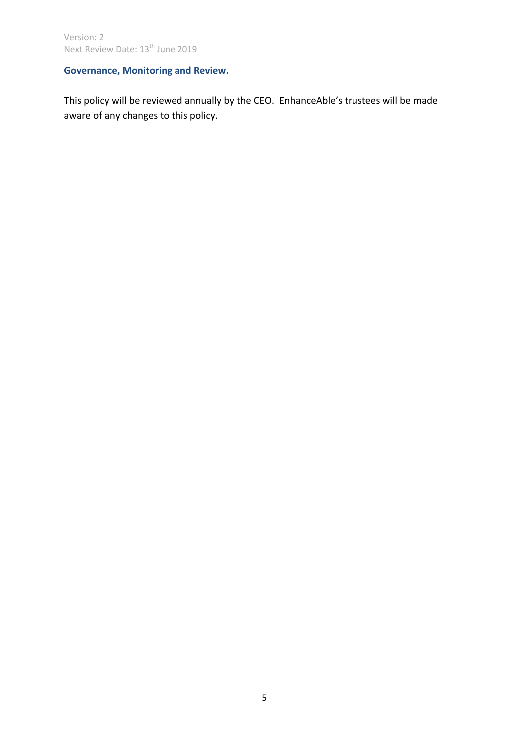# **Governance, Monitoring and Review.**

This policy will be reviewed annually by the CEO. EnhanceAble's trustees will be made aware of any changes to this policy.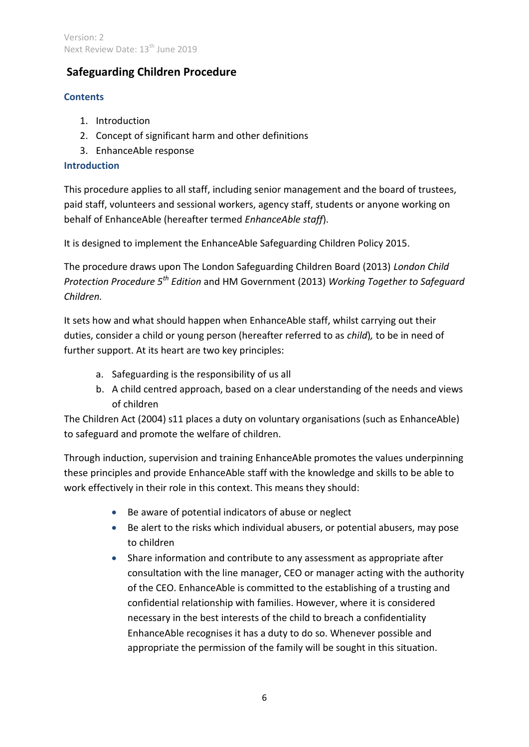# **Safeguarding Children Procedure**

## **Contents**

- 1. Introduction
- 2. Concept of significant harm and other definitions
- 3. EnhanceAble response

# **Introduction**

This procedure applies to all staff, including senior management and the board of trustees, paid staff, volunteers and sessional workers, agency staff, students or anyone working on behalf of EnhanceAble (hereafter termed *EnhanceAble staff*).

It is designed to implement the EnhanceAble Safeguarding Children Policy 2015.

The procedure draws upon The London Safeguarding Children Board (2013) *London Child Protection Procedure 5th Edition* and HM Government (2013) *Working Together to Safeguard Children.*

It sets how and what should happen when EnhanceAble staff, whilst carrying out their duties, consider a child or young person (hereafter referred to as *child*)*,* to be in need of further support. At its heart are two key principles:

- a. Safeguarding is the responsibility of us all
- b. A child centred approach, based on a clear understanding of the needs and views of children

The Children Act (2004) s11 places a duty on voluntary organisations (such as EnhanceAble) to safeguard and promote the welfare of children.

Through induction, supervision and training EnhanceAble promotes the values underpinning these principles and provide EnhanceAble staff with the knowledge and skills to be able to work effectively in their role in this context. This means they should:

- Be aware of potential indicators of abuse or neglect
- Be alert to the risks which individual abusers, or potential abusers, may pose to children
- Share information and contribute to any assessment as appropriate after consultation with the line manager, CEO or manager acting with the authority of the CEO. EnhanceAble is committed to the establishing of a trusting and confidential relationship with families. However, where it is considered necessary in the best interests of the child to breach a confidentiality EnhanceAble recognises it has a duty to do so. Whenever possible and appropriate the permission of the family will be sought in this situation.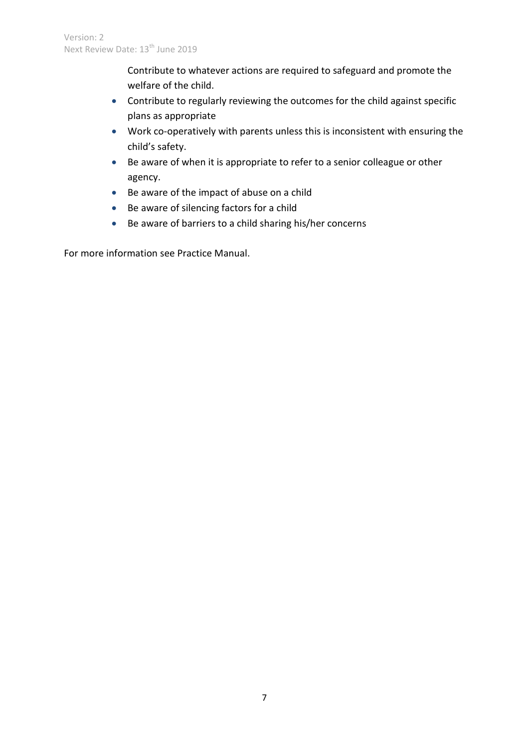Contribute to whatever actions are required to safeguard and promote the welfare of the child.

- Contribute to regularly reviewing the outcomes for the child against specific plans as appropriate
- Work co-operatively with parents unless this is inconsistent with ensuring the child's safety.
- Be aware of when it is appropriate to refer to a senior colleague or other agency.
- Be aware of the impact of abuse on a child
- Be aware of silencing factors for a child
- Be aware of barriers to a child sharing his/her concerns

For more information see Practice Manual.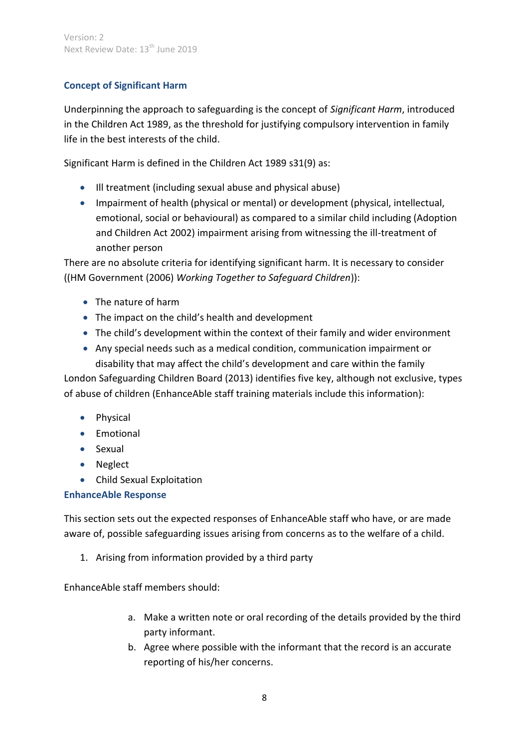# **Concept of Significant Harm**

Underpinning the approach to safeguarding is the concept of *Significant Harm*, introduced in the Children Act 1989, as the threshold for justifying compulsory intervention in family life in the best interests of the child.

Significant Harm is defined in the Children Act 1989 s31(9) as:

- Ill treatment (including sexual abuse and physical abuse)
- Impairment of health (physical or mental) or development (physical, intellectual, emotional, social or behavioural) as compared to a similar child including (Adoption and Children Act 2002) impairment arising from witnessing the ill-treatment of another person

There are no absolute criteria for identifying significant harm. It is necessary to consider ((HM Government (2006) *Working Together to Safeguard Children*)):

- The nature of harm
- The impact on the child's health and development
- The child's development within the context of their family and wider environment
- Any special needs such as a medical condition, communication impairment or disability that may affect the child's development and care within the family

London Safeguarding Children Board (2013) identifies five key, although not exclusive, types of abuse of children (EnhanceAble staff training materials include this information):

- Physical
- Emotional
- Sexual
- Neglect
- Child Sexual Exploitation

## **EnhanceAble Response**

This section sets out the expected responses of EnhanceAble staff who have, or are made aware of, possible safeguarding issues arising from concerns as to the welfare of a child.

1. Arising from information provided by a third party

EnhanceAble staff members should:

- a. Make a written note or oral recording of the details provided by the third party informant.
- b. Agree where possible with the informant that the record is an accurate reporting of his/her concerns.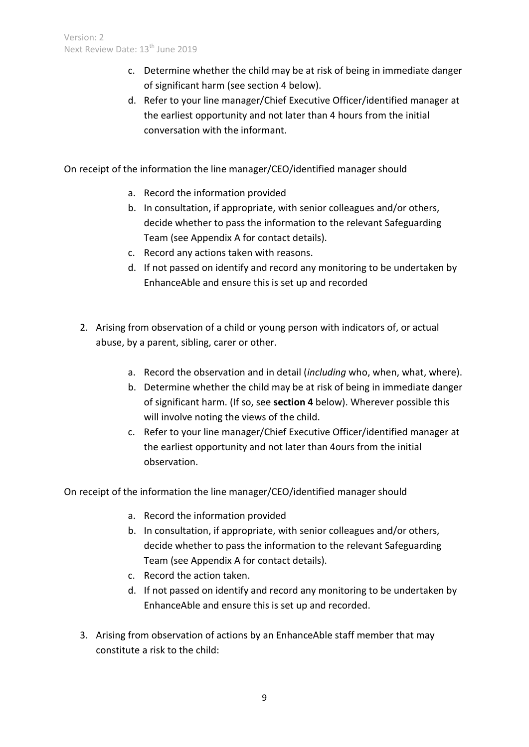- c. Determine whether the child may be at risk of being in immediate danger of significant harm (see section 4 below).
- d. Refer to your line manager/Chief Executive Officer/identified manager at the earliest opportunity and not later than 4 hours from the initial conversation with the informant.

On receipt of the information the line manager/CEO/identified manager should

- a. Record the information provided
- b. In consultation, if appropriate, with senior colleagues and/or others, decide whether to pass the information to the relevant Safeguarding Team (see Appendix A for contact details).
- c. Record any actions taken with reasons.
- d. If not passed on identify and record any monitoring to be undertaken by EnhanceAble and ensure this is set up and recorded
- 2. Arising from observation of a child or young person with indicators of, or actual abuse, by a parent, sibling, carer or other.
	- a. Record the observation and in detail (*including* who, when, what, where).
	- b. Determine whether the child may be at risk of being in immediate danger of significant harm. (If so, see **section 4** below). Wherever possible this will involve noting the views of the child.
	- c. Refer to your line manager/Chief Executive Officer/identified manager at the earliest opportunity and not later than 4ours from the initial observation.

On receipt of the information the line manager/CEO/identified manager should

- a. Record the information provided
- b. In consultation, if appropriate, with senior colleagues and/or others, decide whether to pass the information to the relevant Safeguarding Team (see Appendix A for contact details).
- c. Record the action taken.
- d. If not passed on identify and record any monitoring to be undertaken by EnhanceAble and ensure this is set up and recorded.
- 3. Arising from observation of actions by an EnhanceAble staff member that may constitute a risk to the child: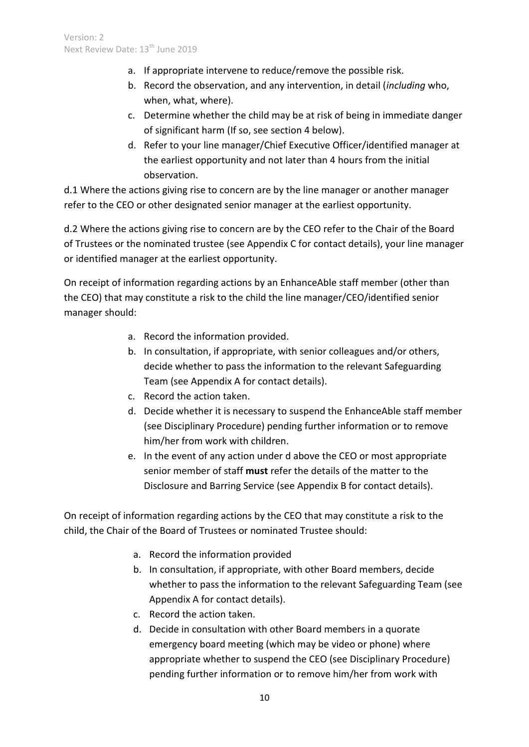- a. If appropriate intervene to reduce/remove the possible risk.
- b. Record the observation, and any intervention, in detail (*including* who, when, what, where).
- c. Determine whether the child may be at risk of being in immediate danger of significant harm (If so, see section 4 below).
- d. Refer to your line manager/Chief Executive Officer/identified manager at the earliest opportunity and not later than 4 hours from the initial observation.

d.1 Where the actions giving rise to concern are by the line manager or another manager refer to the CEO or other designated senior manager at the earliest opportunity.

d.2 Where the actions giving rise to concern are by the CEO refer to the Chair of the Board of Trustees or the nominated trustee (see Appendix C for contact details), your line manager or identified manager at the earliest opportunity.

On receipt of information regarding actions by an EnhanceAble staff member (other than the CEO) that may constitute a risk to the child the line manager/CEO/identified senior manager should:

- a. Record the information provided.
- b. In consultation, if appropriate, with senior colleagues and/or others, decide whether to pass the information to the relevant Safeguarding Team (see Appendix A for contact details).
- c. Record the action taken.
- d. Decide whether it is necessary to suspend the EnhanceAble staff member (see Disciplinary Procedure) pending further information or to remove him/her from work with children.
- e. In the event of any action under d above the CEO or most appropriate senior member of staff **must** refer the details of the matter to the Disclosure and Barring Service (see Appendix B for contact details).

On receipt of information regarding actions by the CEO that may constitute a risk to the child, the Chair of the Board of Trustees or nominated Trustee should:

- a. Record the information provided
- b. In consultation, if appropriate, with other Board members, decide whether to pass the information to the relevant Safeguarding Team (see Appendix A for contact details).
- c. Record the action taken.
- d. Decide in consultation with other Board members in a quorate emergency board meeting (which may be video or phone) where appropriate whether to suspend the CEO (see Disciplinary Procedure) pending further information or to remove him/her from work with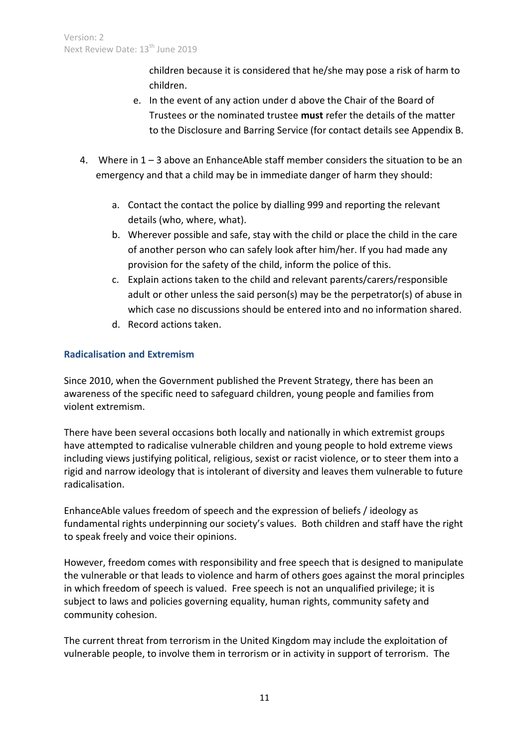children because it is considered that he/she may pose a risk of harm to children.

- e. In the event of any action under d above the Chair of the Board of Trustees or the nominated trustee **must** refer the details of the matter to the Disclosure and Barring Service (for contact details see Appendix B.
- 4. Where in 1 3 above an EnhanceAble staff member considers the situation to be an emergency and that a child may be in immediate danger of harm they should:
	- a. Contact the contact the police by dialling 999 and reporting the relevant details (who, where, what).
	- b. Wherever possible and safe, stay with the child or place the child in the care of another person who can safely look after him/her. If you had made any provision for the safety of the child, inform the police of this.
	- c. Explain actions taken to the child and relevant parents/carers/responsible adult or other unless the said person(s) may be the perpetrator(s) of abuse in which case no discussions should be entered into and no information shared.
	- d. Record actions taken.

## **Radicalisation and Extremism**

Since 2010, when the Government published the Prevent Strategy, there has been an awareness of the specific need to safeguard children, young people and families from violent extremism.

There have been several occasions both locally and nationally in which extremist groups have attempted to radicalise vulnerable children and young people to hold extreme views including views justifying political, religious, sexist or racist violence, or to steer them into a rigid and narrow ideology that is intolerant of diversity and leaves them vulnerable to future radicalisation.

EnhanceAble values freedom of speech and the expression of beliefs / ideology as fundamental rights underpinning our society's values. Both children and staff have the right to speak freely and voice their opinions.

However, freedom comes with responsibility and free speech that is designed to manipulate the vulnerable or that leads to violence and harm of others goes against the moral principles in which freedom of speech is valued. Free speech is not an unqualified privilege; it is subject to laws and policies governing equality, human rights, community safety and community cohesion.

The current threat from terrorism in the United Kingdom may include the exploitation of vulnerable people, to involve them in terrorism or in activity in support of terrorism. The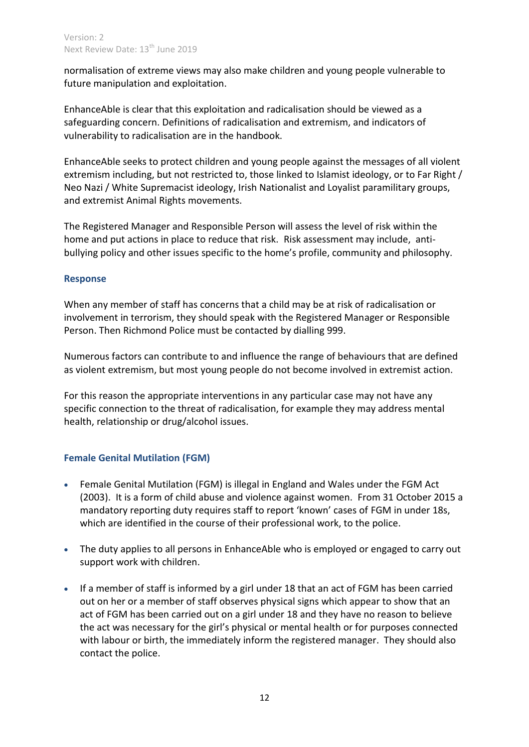normalisation of extreme views may also make children and young people vulnerable to future manipulation and exploitation.

EnhanceAble is clear that this exploitation and radicalisation should be viewed as a safeguarding concern. Definitions of radicalisation and extremism, and indicators of vulnerability to radicalisation are in the handbook.

EnhanceAble seeks to protect children and young people against the messages of all violent extremism including, but not restricted to, those linked to Islamist ideology, or to Far Right / Neo Nazi / White Supremacist ideology, Irish Nationalist and Loyalist paramilitary groups, and extremist Animal Rights movements.

The Registered Manager and Responsible Person will assess the level of risk within the home and put actions in place to reduce that risk. Risk assessment may include, antibullying policy and other issues specific to the home's profile, community and philosophy.

## **Response**

When any member of staff has concerns that a child may be at risk of radicalisation or involvement in terrorism, they should speak with the Registered Manager or Responsible Person. Then Richmond Police must be contacted by dialling 999.

Numerous factors can contribute to and influence the range of behaviours that are defined as violent extremism, but most young people do not become involved in extremist action.

For this reason the appropriate interventions in any particular case may not have any specific connection to the threat of radicalisation, for example they may address mental health, relationship or drug/alcohol issues.

## **Female Genital Mutilation (FGM)**

- Female Genital Mutilation (FGM) is illegal in England and Wales under the FGM Act (2003). It is a form of child abuse and violence against women. From 31 October 2015 a mandatory reporting duty requires staff to report 'known' cases of FGM in under 18s, which are identified in the course of their professional work, to the police.
- The duty applies to all persons in EnhanceAble who is employed or engaged to carry out support work with children.
- If a member of staff is informed by a girl under 18 that an act of FGM has been carried out on her or a member of staff observes physical signs which appear to show that an act of FGM has been carried out on a girl under 18 and they have no reason to believe the act was necessary for the girl's physical or mental health or for purposes connected with labour or birth, the immediately inform the registered manager. They should also contact the police.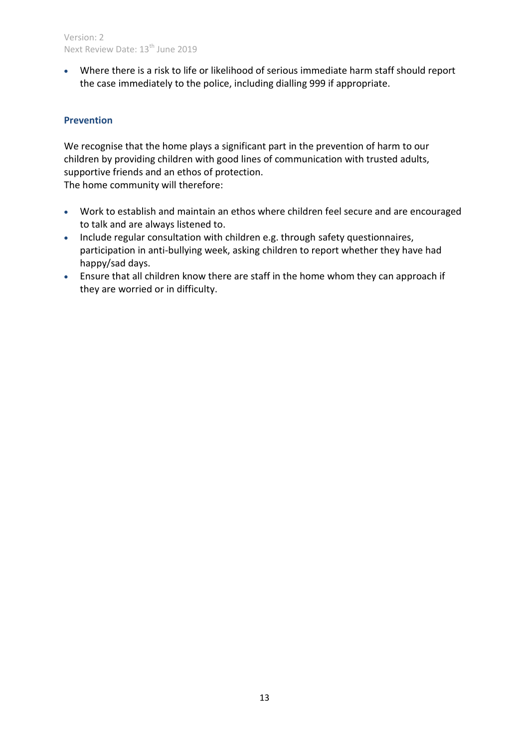Where there is a risk to life or likelihood of serious immediate harm staff should report the case immediately to the police, including dialling 999 if appropriate.

## **Prevention**

We recognise that the home plays a significant part in the prevention of harm to our children by providing children with good lines of communication with trusted adults, supportive friends and an ethos of protection.

The home community will therefore:

- Work to establish and maintain an ethos where children feel secure and are encouraged to talk and are always listened to.
- Include regular consultation with children e.g. through safety questionnaires, participation in anti-bullying week, asking children to report whether they have had happy/sad days.
- Ensure that all children know there are staff in the home whom they can approach if they are worried or in difficulty.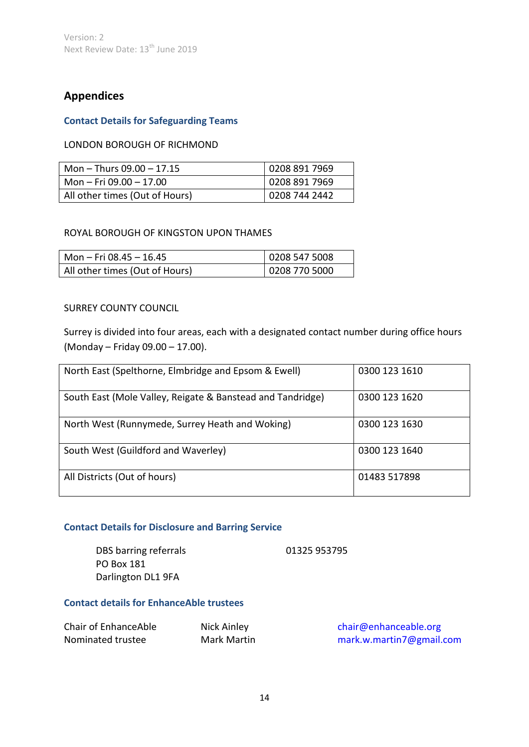# **Appendices**

## **Contact Details for Safeguarding Teams**

#### LONDON BOROUGH OF RICHMOND

| Mon - Thurs $09.00 - 17.15$    | 0208 891 7969 |
|--------------------------------|---------------|
| Mon – Fri 09.00 – 17.00        | 0208 891 7969 |
| All other times (Out of Hours) | 0208 744 2442 |

#### ROYAL BOROUGH OF KINGSTON UPON THAMES

| Mon – Fri 08.45 – 16.45        | 0208 547 5008 |
|--------------------------------|---------------|
| All other times (Out of Hours) | 0208 770 5000 |

#### SURREY COUNTY COUNCIL

Surrey is divided into four areas, each with a designated contact number during office hours (Monday – Friday 09.00 – 17.00).

| North East (Spelthorne, Elmbridge and Epsom & Ewell)       | 0300 123 1610 |
|------------------------------------------------------------|---------------|
| South East (Mole Valley, Reigate & Banstead and Tandridge) | 0300 123 1620 |
| North West (Runnymede, Surrey Heath and Woking)            | 0300 123 1630 |
| South West (Guildford and Waverley)                        | 0300 123 1640 |
| All Districts (Out of hours)                               | 01483 517898  |

#### **Contact Details for Disclosure and Barring Service**

DBS barring referrals PO Box 181 Darlington DL1 9FA

01325 953795

#### **Contact details for EnhanceAble trustees**

| Chair of Enhance Able | Nick Ainley        |
|-----------------------|--------------------|
| Nominated trustee     | <b>Mark Martin</b> |

[chair@enhanceable.org](mailto:chair@enhanceable.org) mark.w.martin 7@gmail.com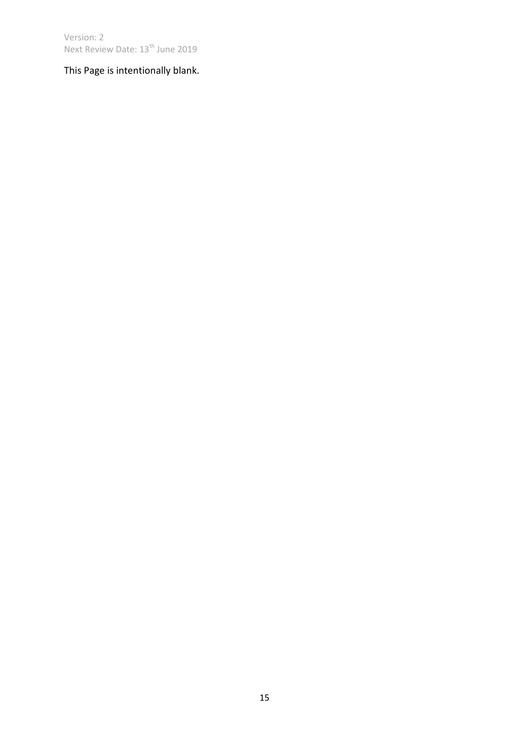This Page is intentionally blank.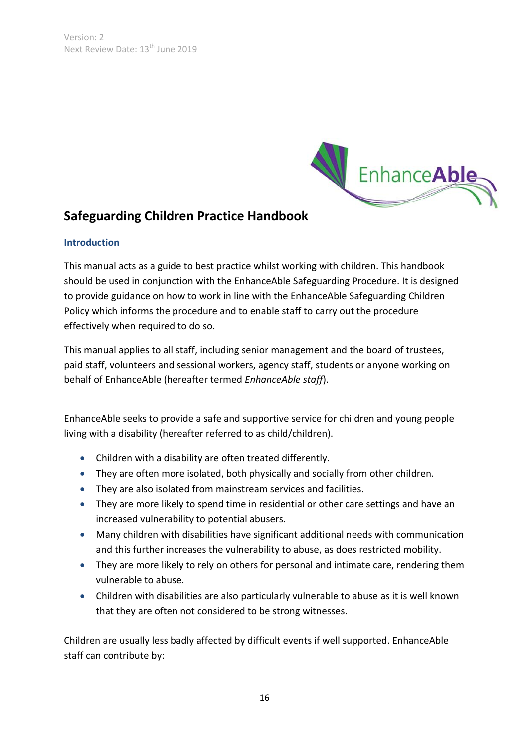

# **Safeguarding Children Practice Handbook**

## **Introduction**

This manual acts as a guide to best practice whilst working with children. This handbook should be used in conjunction with the EnhanceAble Safeguarding Procedure. It is designed to provide guidance on how to work in line with the EnhanceAble Safeguarding Children Policy which informs the procedure and to enable staff to carry out the procedure effectively when required to do so.

This manual applies to all staff, including senior management and the board of trustees, paid staff, volunteers and sessional workers, agency staff, students or anyone working on behalf of EnhanceAble (hereafter termed *EnhanceAble staff*).

EnhanceAble seeks to provide a safe and supportive service for children and young people living with a disability (hereafter referred to as child/children).

- Children with a disability are often treated differently.
- They are often more isolated, both physically and socially from other children.
- They are also isolated from mainstream services and facilities.
- They are more likely to spend time in residential or other care settings and have an increased vulnerability to potential abusers.
- Many children with disabilities have significant additional needs with communication and this further increases the vulnerability to abuse, as does restricted mobility.
- They are more likely to rely on others for personal and intimate care, rendering them vulnerable to abuse.
- Children with disabilities are also particularly vulnerable to abuse as it is well known that they are often not considered to be strong witnesses.

Children are usually less badly affected by difficult events if well supported. EnhanceAble staff can contribute by: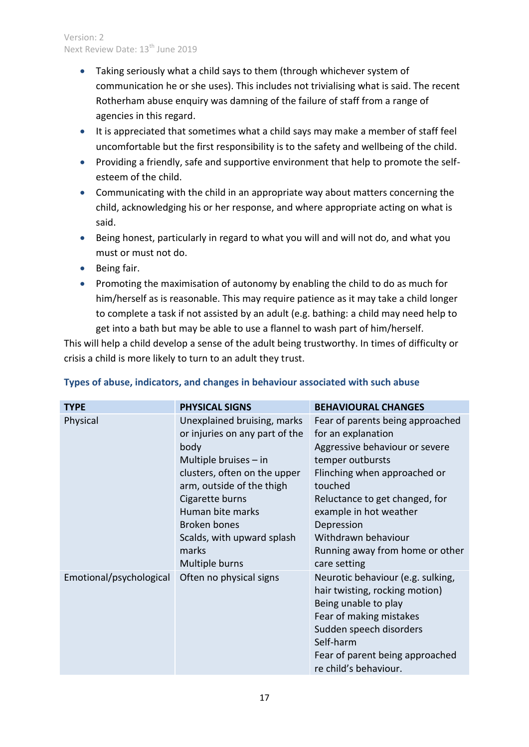- Taking seriously what a child says to them (through whichever system of communication he or she uses). This includes not trivialising what is said. The recent Rotherham abuse enquiry was damning of the failure of staff from a range of agencies in this regard.
- It is appreciated that sometimes what a child says may make a member of staff feel uncomfortable but the first responsibility is to the safety and wellbeing of the child.
- Providing a friendly, safe and supportive environment that help to promote the selfesteem of the child.
- Communicating with the child in an appropriate way about matters concerning the child, acknowledging his or her response, and where appropriate acting on what is said.
- Being honest, particularly in regard to what you will and will not do, and what you must or must not do.
- **•** Being fair.
- Promoting the maximisation of autonomy by enabling the child to do as much for him/herself as is reasonable. This may require patience as it may take a child longer to complete a task if not assisted by an adult (e.g. bathing: a child may need help to get into a bath but may be able to use a flannel to wash part of him/herself.

This will help a child develop a sense of the adult being trustworthy. In times of difficulty or crisis a child is more likely to turn to an adult they trust.

| <b>TYPE</b>             | <b>PHYSICAL SIGNS</b>                                                                                                                                                                                                                                                                | <b>BEHAVIOURAL CHANGES</b>                                                                                                                                                                                                                                                                                  |
|-------------------------|--------------------------------------------------------------------------------------------------------------------------------------------------------------------------------------------------------------------------------------------------------------------------------------|-------------------------------------------------------------------------------------------------------------------------------------------------------------------------------------------------------------------------------------------------------------------------------------------------------------|
| Physical                | Unexplained bruising, marks<br>or injuries on any part of the<br>body<br>Multiple bruises $-$ in<br>clusters, often on the upper<br>arm, outside of the thigh<br>Cigarette burns<br>Human bite marks<br><b>Broken bones</b><br>Scalds, with upward splash<br>marks<br>Multiple burns | Fear of parents being approached<br>for an explanation<br>Aggressive behaviour or severe<br>temper outbursts<br>Flinching when approached or<br>touched<br>Reluctance to get changed, for<br>example in hot weather<br>Depression<br>Withdrawn behaviour<br>Running away from home or other<br>care setting |
| Emotional/psychological | Often no physical signs                                                                                                                                                                                                                                                              | Neurotic behaviour (e.g. sulking,<br>hair twisting, rocking motion)<br>Being unable to play<br>Fear of making mistakes<br>Sudden speech disorders<br>Self-harm<br>Fear of parent being approached<br>re child's behaviour.                                                                                  |

# **Types of abuse, indicators, and changes in behaviour associated with such abuse**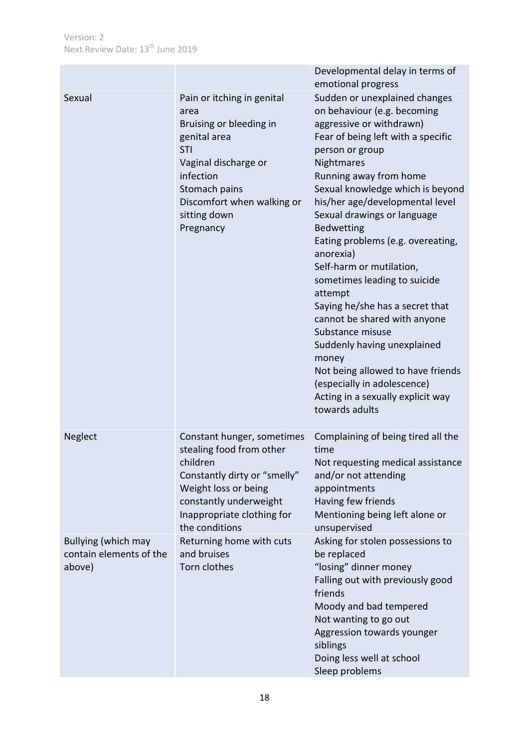|                                                          |                                                                                                                                                                                                              | Developmental delay in terms of<br>emotional progress                                                                                                                                                                                                                                                                                                                                                                                                                                                                                                                                                                                                                                                   |
|----------------------------------------------------------|--------------------------------------------------------------------------------------------------------------------------------------------------------------------------------------------------------------|---------------------------------------------------------------------------------------------------------------------------------------------------------------------------------------------------------------------------------------------------------------------------------------------------------------------------------------------------------------------------------------------------------------------------------------------------------------------------------------------------------------------------------------------------------------------------------------------------------------------------------------------------------------------------------------------------------|
| Sexual                                                   | Pain or itching in genital<br>area<br>Bruising or bleeding in<br>genital area<br><b>STI</b><br>Vaginal discharge or<br>infection<br>Stomach pains<br>Discomfort when walking or<br>sitting down<br>Pregnancy | Sudden or unexplained changes<br>on behaviour (e.g. becoming<br>aggressive or withdrawn)<br>Fear of being left with a specific<br>person or group<br>Nightmares<br>Running away from home<br>Sexual knowledge which is beyond<br>his/her age/developmental level<br>Sexual drawings or language<br><b>Bedwetting</b><br>Eating problems (e.g. overeating,<br>anorexia)<br>Self-harm or mutilation,<br>sometimes leading to suicide<br>attempt<br>Saying he/she has a secret that<br>cannot be shared with anyone<br>Substance misuse<br>Suddenly having unexplained<br>money<br>Not being allowed to have friends<br>(especially in adolescence)<br>Acting in a sexually explicit way<br>towards adults |
| Neglect                                                  | Constant hunger, sometimes<br>stealing food from other<br>children<br>Constantly dirty or "smelly"<br>Weight loss or being<br>constantly underweight<br>Inappropriate clothing for<br>the conditions         | Complaining of being tired all the<br>time<br>Not requesting medical assistance<br>and/or not attending<br>appointments<br>Having few friends<br>Mentioning being left alone or<br>unsupervised                                                                                                                                                                                                                                                                                                                                                                                                                                                                                                         |
| Bullying (which may<br>contain elements of the<br>above) | Returning home with cuts<br>and bruises<br>Torn clothes                                                                                                                                                      | Asking for stolen possessions to<br>be replaced<br>"losing" dinner money<br>Falling out with previously good<br>friends<br>Moody and bad tempered<br>Not wanting to go out<br>Aggression towards younger<br>siblings<br>Doing less well at school<br>Sleep problems                                                                                                                                                                                                                                                                                                                                                                                                                                     |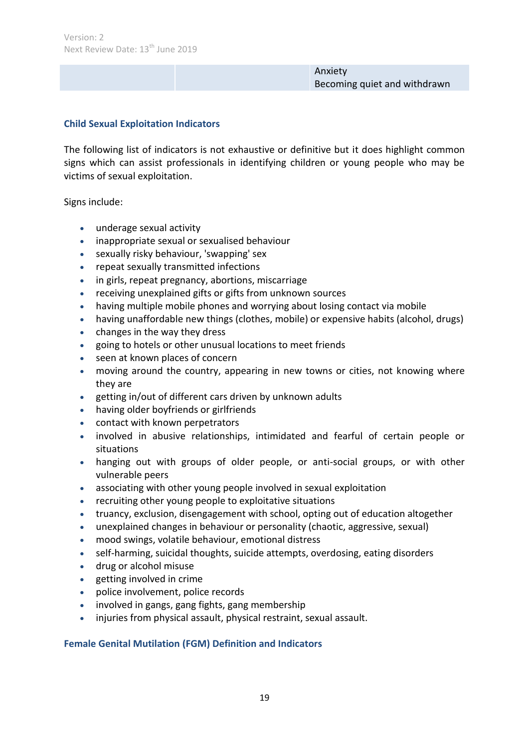Anxiety Becoming quiet and withdrawn

#### **Child Sexual Exploitation Indicators**

The following list of indicators is not exhaustive or definitive but it does highlight common signs which can assist professionals in identifying children or young people who may be victims of sexual exploitation.

Signs include:

- underage sexual activity
- inappropriate sexual or sexualised behaviour
- sexually risky behaviour, 'swapping' sex
- repeat sexually transmitted infections
- in girls, repeat pregnancy, abortions, miscarriage
- receiving unexplained gifts or gifts from unknown sources
- having multiple mobile phones and worrying about losing contact via mobile
- having unaffordable new things (clothes, mobile) or expensive habits (alcohol, drugs)
- changes in the way they dress
- going to hotels or other unusual locations to meet friends
- seen at known places of concern
- moving around the country, appearing in new towns or cities, not knowing where they are
- getting in/out of different cars driven by unknown adults
- having older boyfriends or girlfriends
- contact with known perpetrators
- involved in abusive relationships, intimidated and fearful of certain people or situations
- hanging out with groups of older people, or anti-social groups, or with other vulnerable peers
- associating with other young people involved in sexual exploitation
- recruiting other young people to exploitative situations
- truancy, exclusion, disengagement with school, opting out of education altogether
- unexplained changes in behaviour or personality (chaotic, aggressive, sexual)
- mood swings, volatile behaviour, emotional distress
- self-harming, suicidal thoughts, suicide attempts, overdosing, eating disorders
- drug or alcohol misuse
- getting involved in crime
- police involvement, police records
- involved in gangs, gang fights, gang membership
- injuries from physical assault, physical restraint, sexual assault.

#### **Female Genital Mutilation (FGM) Definition and Indicators**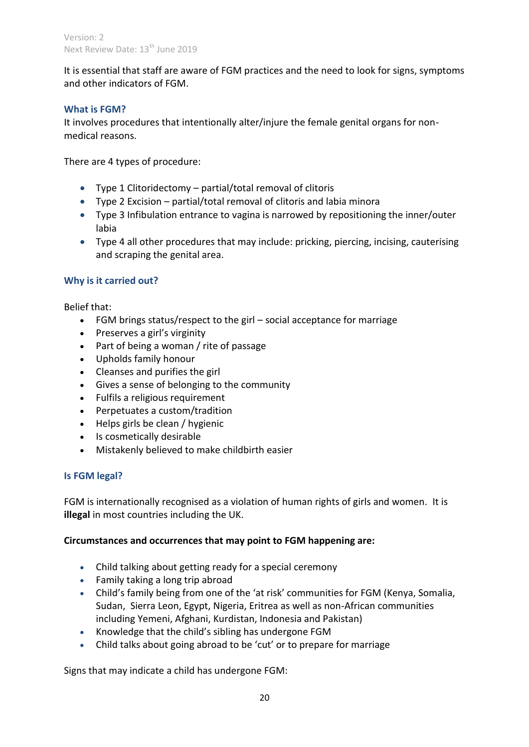It is essential that staff are aware of FGM practices and the need to look for signs, symptoms and other indicators of FGM.

#### **What is FGM?**

It involves procedures that intentionally alter/injure the female genital organs for nonmedical reasons.

There are 4 types of procedure:

- Type 1 Clitoridectomy partial/total removal of clitoris
- Type 2 Excision partial/total removal of clitoris and labia minora
- Type 3 Infibulation entrance to vagina is narrowed by repositioning the inner/outer labia
- Type 4 all other procedures that may include: pricking, piercing, incising, cauterising and scraping the genital area.

## **Why is it carried out?**

Belief that:

- FGM brings status/respect to the girl social acceptance for marriage
- Preserves a girl's virginity
- Part of being a woman / rite of passage
- Upholds family honour
- Cleanses and purifies the girl
- Gives a sense of belonging to the community
- Fulfils a religious requirement
- Perpetuates a custom/tradition
- Helps girls be clean / hygienic
- Is cosmetically desirable
- Mistakenly believed to make childbirth easier

#### **Is FGM legal?**

FGM is internationally recognised as a violation of human rights of girls and women. It is **illegal** in most countries including the UK.

#### **Circumstances and occurrences that may point to FGM happening are:**

- Child talking about getting ready for a special ceremony
- Family taking a long trip abroad
- Child's family being from one of the 'at risk' communities for FGM (Kenya, Somalia, Sudan, Sierra Leon, Egypt, Nigeria, Eritrea as well as non-African communities including Yemeni, Afghani, Kurdistan, Indonesia and Pakistan)
- Knowledge that the child's sibling has undergone FGM
- Child talks about going abroad to be 'cut' or to prepare for marriage

Signs that may indicate a child has undergone FGM: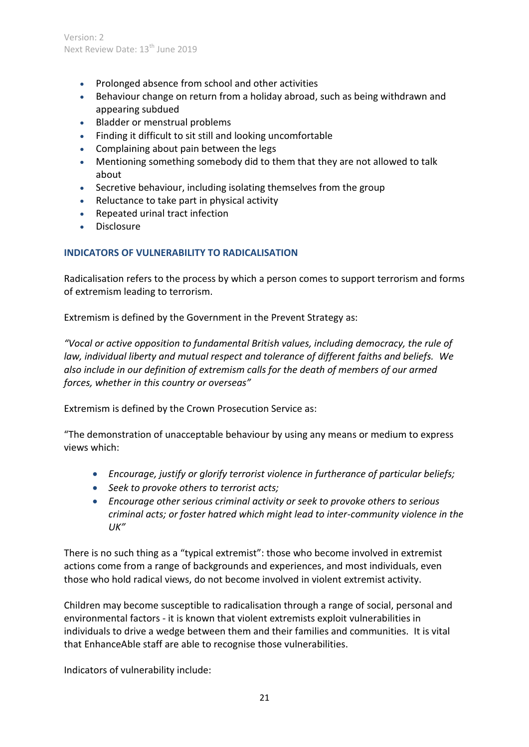- Prolonged absence from school and other activities
- Behaviour change on return from a holiday abroad, such as being withdrawn and appearing subdued
- Bladder or menstrual problems
- Finding it difficult to sit still and looking uncomfortable
- Complaining about pain between the legs
- Mentioning something somebody did to them that they are not allowed to talk about
- Secretive behaviour, including isolating themselves from the group
- Reluctance to take part in physical activity
- Repeated urinal tract infection
- Disclosure

## **INDICATORS OF VULNERABILITY TO RADICALISATION**

Radicalisation refers to the process by which a person comes to support terrorism and forms of extremism leading to terrorism.

Extremism is defined by the Government in the Prevent Strategy as:

*"Vocal or active opposition to fundamental British values, including democracy, the rule of law, individual liberty and mutual respect and tolerance of different faiths and beliefs. We also include in our definition of extremism calls for the death of members of our armed forces, whether in this country or overseas"*

Extremism is defined by the Crown Prosecution Service as:

"The demonstration of unacceptable behaviour by using any means or medium to express views which:

- *Encourage, justify or glorify terrorist violence in furtherance of particular beliefs;*
- *Seek to provoke others to terrorist acts;*
- *Encourage other serious criminal activity or seek to provoke others to serious criminal acts; or foster hatred which might lead to inter-community violence in the UK"*

There is no such thing as a "typical extremist": those who become involved in extremist actions come from a range of backgrounds and experiences, and most individuals, even those who hold radical views, do not become involved in violent extremist activity.

Children may become susceptible to radicalisation through a range of social, personal and environmental factors - it is known that violent extremists exploit vulnerabilities in individuals to drive a wedge between them and their families and communities. It is vital that EnhanceAble staff are able to recognise those vulnerabilities.

Indicators of vulnerability include: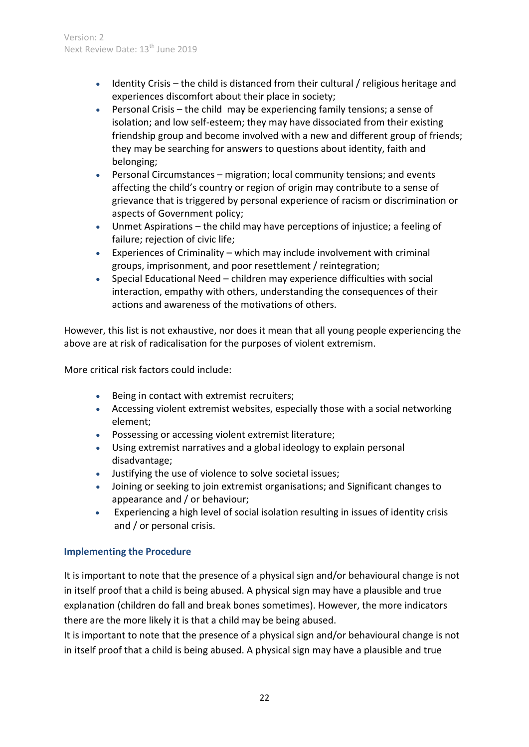- Identity Crisis the child is distanced from their cultural / religious heritage and experiences discomfort about their place in society;
- Personal Crisis the child may be experiencing family tensions; a sense of isolation; and low self-esteem; they may have dissociated from their existing friendship group and become involved with a new and different group of friends; they may be searching for answers to questions about identity, faith and belonging;
- Personal Circumstances migration; local community tensions; and events affecting the child's country or region of origin may contribute to a sense of grievance that is triggered by personal experience of racism or discrimination or aspects of Government policy;
- Unmet Aspirations the child may have perceptions of injustice; a feeling of failure; rejection of civic life;
- Experiences of Criminality which may include involvement with criminal groups, imprisonment, and poor resettlement / reintegration;
- Special Educational Need children may experience difficulties with social interaction, empathy with others, understanding the consequences of their actions and awareness of the motivations of others.

However, this list is not exhaustive, nor does it mean that all young people experiencing the above are at risk of radicalisation for the purposes of violent extremism.

More critical risk factors could include:

- Being in contact with extremist recruiters;
- Accessing violent extremist websites, especially those with a social networking element;
- Possessing or accessing violent extremist literature;
- Using extremist narratives and a global ideology to explain personal disadvantage;
- Justifying the use of violence to solve societal issues;
- Joining or seeking to join extremist organisations; and Significant changes to appearance and / or behaviour;
- Experiencing a high level of social isolation resulting in issues of identity crisis and / or personal crisis.

# **Implementing the Procedure**

It is important to note that the presence of a physical sign and/or behavioural change is not in itself proof that a child is being abused. A physical sign may have a plausible and true explanation (children do fall and break bones sometimes). However, the more indicators there are the more likely it is that a child may be being abused.

It is important to note that the presence of a physical sign and/or behavioural change is not in itself proof that a child is being abused. A physical sign may have a plausible and true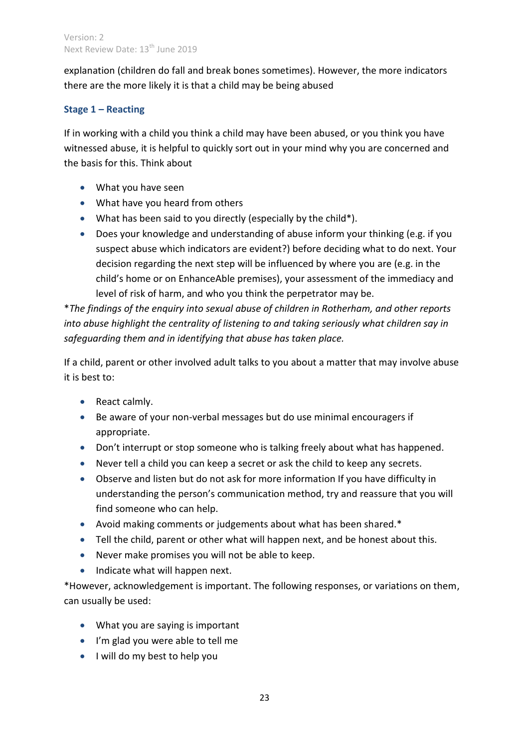explanation (children do fall and break bones sometimes). However, the more indicators there are the more likely it is that a child may be being abused

## **Stage 1 – Reacting**

If in working with a child you think a child may have been abused, or you think you have witnessed abuse, it is helpful to quickly sort out in your mind why you are concerned and the basis for this. Think about

- What you have seen
- What have you heard from others
- What has been said to you directly (especially by the child\*).
- Does your knowledge and understanding of abuse inform your thinking (e.g. if you suspect abuse which indicators are evident?) before deciding what to do next. Your decision regarding the next step will be influenced by where you are (e.g. in the child's home or on EnhanceAble premises), your assessment of the immediacy and level of risk of harm, and who you think the perpetrator may be.

\**The findings of the enquiry into sexual abuse of children in Rotherham, and other reports into abuse highlight the centrality of listening to and taking seriously what children say in safeguarding them and in identifying that abuse has taken place.*

If a child, parent or other involved adult talks to you about a matter that may involve abuse it is best to:

- React calmly.
- Be aware of your non-verbal messages but do use minimal encouragers if appropriate.
- Don't interrupt or stop someone who is talking freely about what has happened.
- Never tell a child you can keep a secret or ask the child to keep any secrets.
- Observe and listen but do not ask for more information If you have difficulty in understanding the person's communication method, try and reassure that you will find someone who can help.
- Avoid making comments or judgements about what has been shared.\*
- Tell the child, parent or other what will happen next, and be honest about this.
- Never make promises you will not be able to keep.
- Indicate what will happen next.

\*However, acknowledgement is important. The following responses, or variations on them, can usually be used:

- What you are saying is important
- I'm glad you were able to tell me
- I will do my best to help you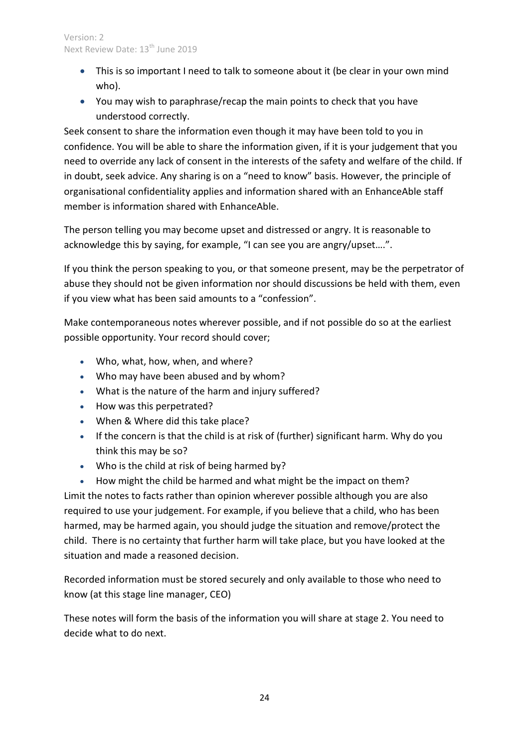- This is so important I need to talk to someone about it (be clear in your own mind who).
- You may wish to paraphrase/recap the main points to check that you have understood correctly.

Seek consent to share the information even though it may have been told to you in confidence. You will be able to share the information given, if it is your judgement that you need to override any lack of consent in the interests of the safety and welfare of the child. If in doubt, seek advice. Any sharing is on a "need to know" basis. However, the principle of organisational confidentiality applies and information shared with an EnhanceAble staff member is information shared with EnhanceAble.

The person telling you may become upset and distressed or angry. It is reasonable to acknowledge this by saying, for example, "I can see you are angry/upset….".

If you think the person speaking to you, or that someone present, may be the perpetrator of abuse they should not be given information nor should discussions be held with them, even if you view what has been said amounts to a "confession".

Make contemporaneous notes wherever possible, and if not possible do so at the earliest possible opportunity. Your record should cover;

- Who, what, how, when, and where?
- Who may have been abused and by whom?
- What is the nature of the harm and injury suffered?
- How was this perpetrated?
- When & Where did this take place?
- If the concern is that the child is at risk of (further) significant harm. Why do you think this may be so?
- Who is the child at risk of being harmed by?
- How might the child be harmed and what might be the impact on them?

Limit the notes to facts rather than opinion wherever possible although you are also required to use your judgement. For example, if you believe that a child, who has been harmed, may be harmed again, you should judge the situation and remove/protect the child. There is no certainty that further harm will take place, but you have looked at the situation and made a reasoned decision.

Recorded information must be stored securely and only available to those who need to know (at this stage line manager, CEO)

These notes will form the basis of the information you will share at stage 2. You need to decide what to do next.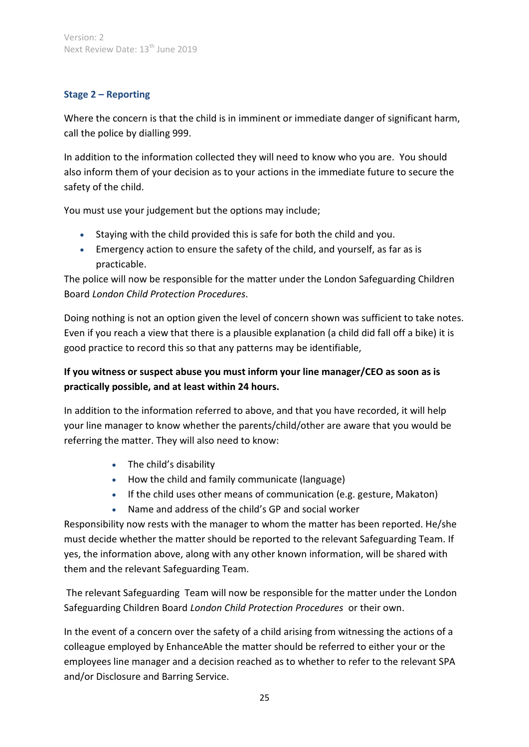## **Stage 2 – Reporting**

Where the concern is that the child is in imminent or immediate danger of significant harm, call the police by dialling 999.

In addition to the information collected they will need to know who you are. You should also inform them of your decision as to your actions in the immediate future to secure the safety of the child.

You must use your judgement but the options may include;

- Staying with the child provided this is safe for both the child and you.
- Emergency action to ensure the safety of the child, and yourself, as far as is practicable.

The police will now be responsible for the matter under the London Safeguarding Children Board *London Child Protection Procedures*.

Doing nothing is not an option given the level of concern shown was sufficient to take notes. Even if you reach a view that there is a plausible explanation (a child did fall off a bike) it is good practice to record this so that any patterns may be identifiable,

# **If you witness or suspect abuse you must inform your line manager/CEO as soon as is practically possible, and at least within 24 hours.**

In addition to the information referred to above, and that you have recorded, it will help your line manager to know whether the parents/child/other are aware that you would be referring the matter. They will also need to know:

- The child's disability
- How the child and family communicate (language)
- If the child uses other means of communication (e.g. gesture, Makaton)
- Name and address of the child's GP and social worker

Responsibility now rests with the manager to whom the matter has been reported. He/she must decide whether the matter should be reported to the relevant Safeguarding Team. If yes, the information above, along with any other known information, will be shared with them and the relevant Safeguarding Team.

The relevant Safeguarding Team will now be responsible for the matter under the London Safeguarding Children Board *London Child Protection Procedures* or their own.

In the event of a concern over the safety of a child arising from witnessing the actions of a colleague employed by EnhanceAble the matter should be referred to either your or the employees line manager and a decision reached as to whether to refer to the relevant SPA and/or Disclosure and Barring Service.